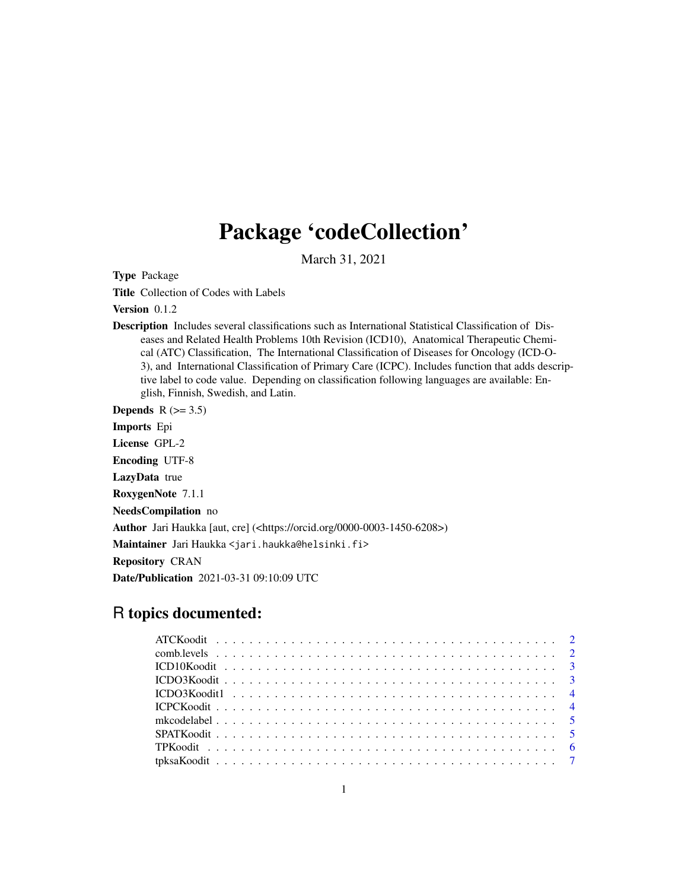## Package 'codeCollection'

March 31, 2021

Type Package

Title Collection of Codes with Labels

Version 0.1.2

Description Includes several classifications such as International Statistical Classification of Diseases and Related Health Problems 10th Revision (ICD10), Anatomical Therapeutic Chemical (ATC) Classification, The International Classification of Diseases for Oncology (ICD-O-3), and International Classification of Primary Care (ICPC). Includes function that adds descriptive label to code value. Depending on classification following languages are available: English, Finnish, Swedish, and Latin.

Depends  $R$  ( $>= 3.5$ )

Imports Epi

License GPL-2

Encoding UTF-8

LazyData true

RoxygenNote 7.1.1

NeedsCompilation no

Author Jari Haukka [aut, cre] (<https://orcid.org/0000-0003-1450-6208>)

Maintainer Jari Haukka <jari.haukka@helsinki.fi>

Repository CRAN

Date/Publication 2021-03-31 09:10:09 UTC

### R topics documented: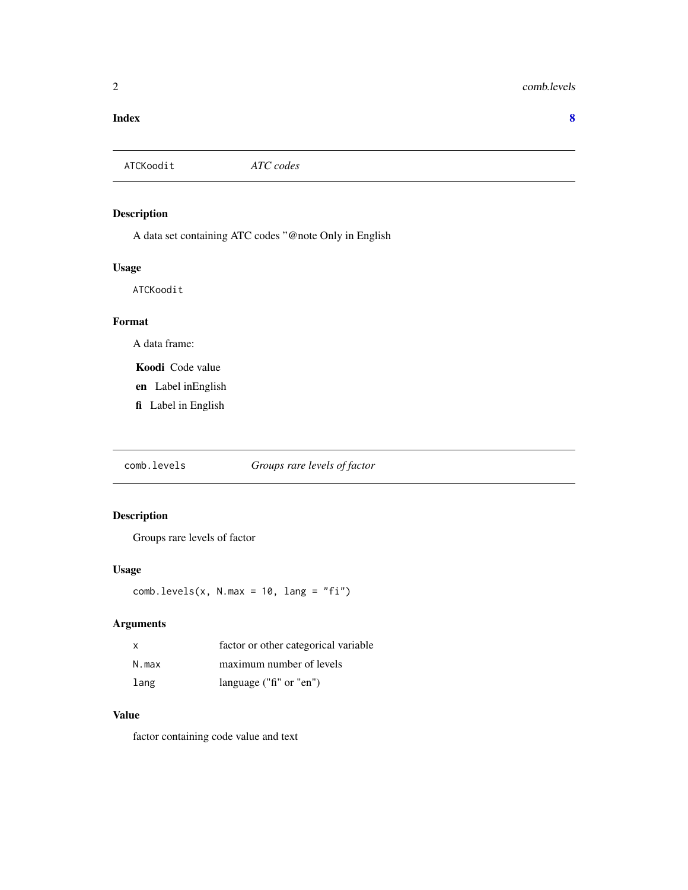#### <span id="page-1-0"></span>**Index** [8](#page-7-0) **8**

ATCKoodit *ATC codes*

#### Description

A data set containing ATC codes "@note Only in English

#### Usage

ATCKoodit

#### Format

A data frame:

Koodi Code value

- en Label inEnglish
- fi Label in English

comb.levels *Groups rare levels of factor*

#### Description

Groups rare levels of factor

#### Usage

 $comb.levels(x, N.max = 10, lang = "fi")$ 

#### Arguments

| X     | factor or other categorical variable |
|-------|--------------------------------------|
| N.max | maximum number of levels             |
| lang  | language ("fi" or "en")              |

#### Value

factor containing code value and text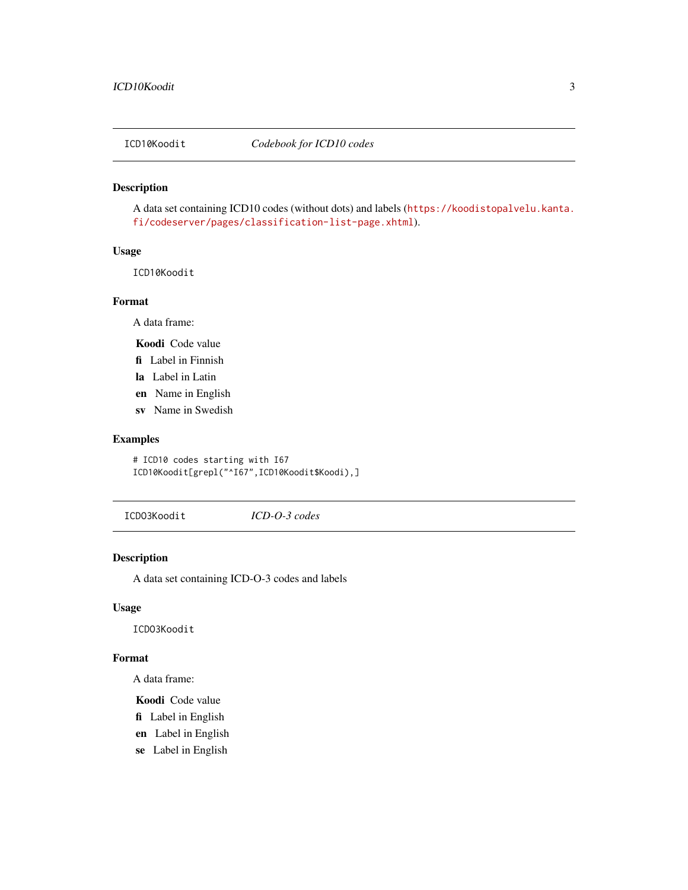<span id="page-2-0"></span>

A data set containing ICD10 codes (without dots) and labels ([https://koodistopalvelu.kanta.](https://koodistopalvelu.kanta.fi/codeserver/pages/classification-list-page.xhtml) [fi/codeserver/pages/classification-list-page.xhtml](https://koodistopalvelu.kanta.fi/codeserver/pages/classification-list-page.xhtml)).

#### Usage

ICD10Koodit

#### Format

A data frame:

Koodi Code value

- fi Label in Finnish
- la Label in Latin
- en Name in English
- sv Name in Swedish

#### Examples

# ICD10 codes starting with I67 ICD10Koodit[grepl("^I67",ICD10Koodit\$Koodi),]

ICDO3Koodit *ICD-O-3 codes*

#### Description

A data set containing ICD-O-3 codes and labels

#### Usage

ICDO3Koodit

#### Format

A data frame:

Koodi Code value

- fi Label in English
- en Label in English
- se Label in English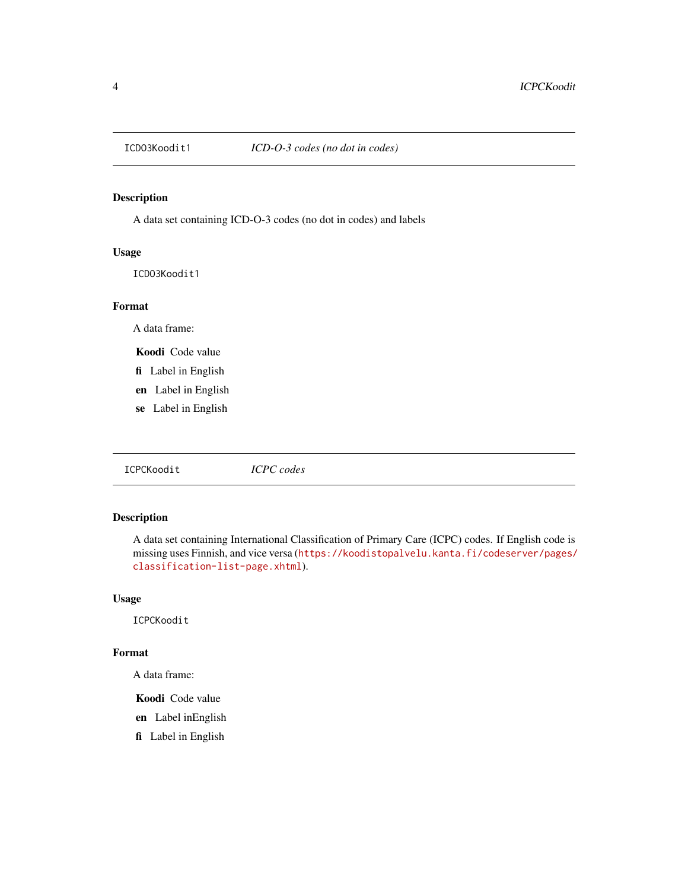<span id="page-3-0"></span>

A data set containing ICD-O-3 codes (no dot in codes) and labels

#### Usage

ICDO3Koodit1

#### Format

A data frame:

Koodi Code value

- fi Label in English
- en Label in English
- se Label in English

ICPCKoodit *ICPC codes*

#### Description

A data set containing International Classification of Primary Care (ICPC) codes. If English code is missing uses Finnish, and vice versa ([https://koodistopalvelu.kanta.fi/codeserver/pages/](https://koodistopalvelu.kanta.fi/codeserver/pages/classification-list-page.xhtml) [classification-list-page.xhtml](https://koodistopalvelu.kanta.fi/codeserver/pages/classification-list-page.xhtml)).

#### Usage

ICPCKoodit

#### Format

A data frame:

Koodi Code value

- en Label inEnglish
- fi Label in English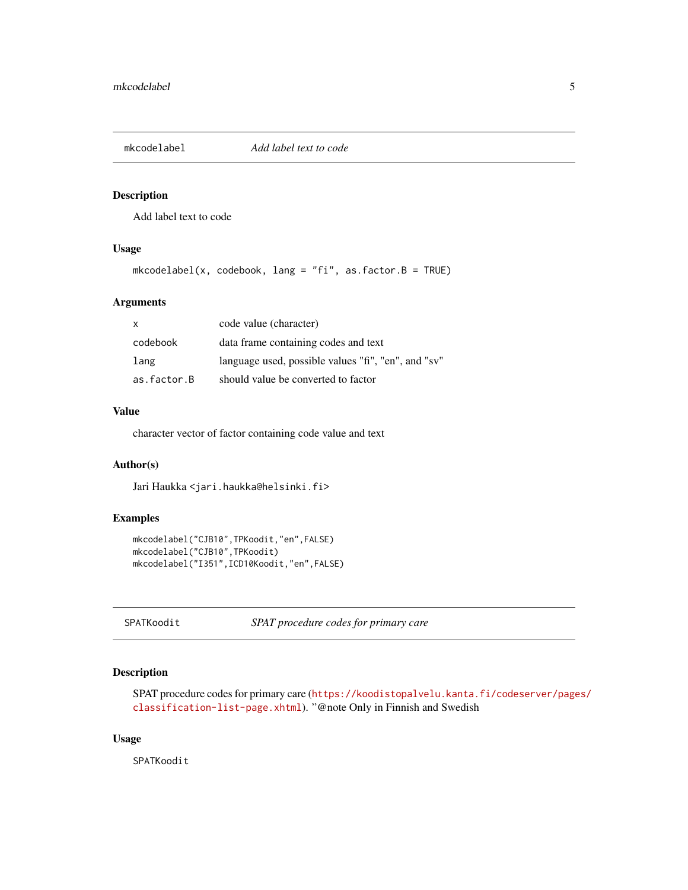<span id="page-4-0"></span>

Add label text to code

#### Usage

mkcodelabel(x, codebook, lang = "fi", as.factor.B = TRUE)

#### Arguments

| $\mathsf{x}$ | code value (character)                              |
|--------------|-----------------------------------------------------|
| codebook     | data frame containing codes and text                |
| lang         | language used, possible values "fi", "en", and "sv" |
| as.factor.B  | should value be converted to factor                 |

#### Value

character vector of factor containing code value and text

#### Author(s)

Jari Haukka <jari.haukka@helsinki.fi>

#### Examples

```
mkcodelabel("CJB10",TPKoodit,"en",FALSE)
mkcodelabel("CJB10",TPKoodit)
mkcodelabel("I351",ICD10Koodit,"en",FALSE)
```
SPATKoodit *SPAT procedure codes for primary care*

#### Description

SPAT procedure codes for primary care ([https://koodistopalvelu.kanta.fi/codeserver/page](https://koodistopalvelu.kanta.fi/codeserver/pages/classification-list-page.xhtml)s/ [classification-list-page.xhtml](https://koodistopalvelu.kanta.fi/codeserver/pages/classification-list-page.xhtml)). "@note Only in Finnish and Swedish

#### Usage

SPATKoodit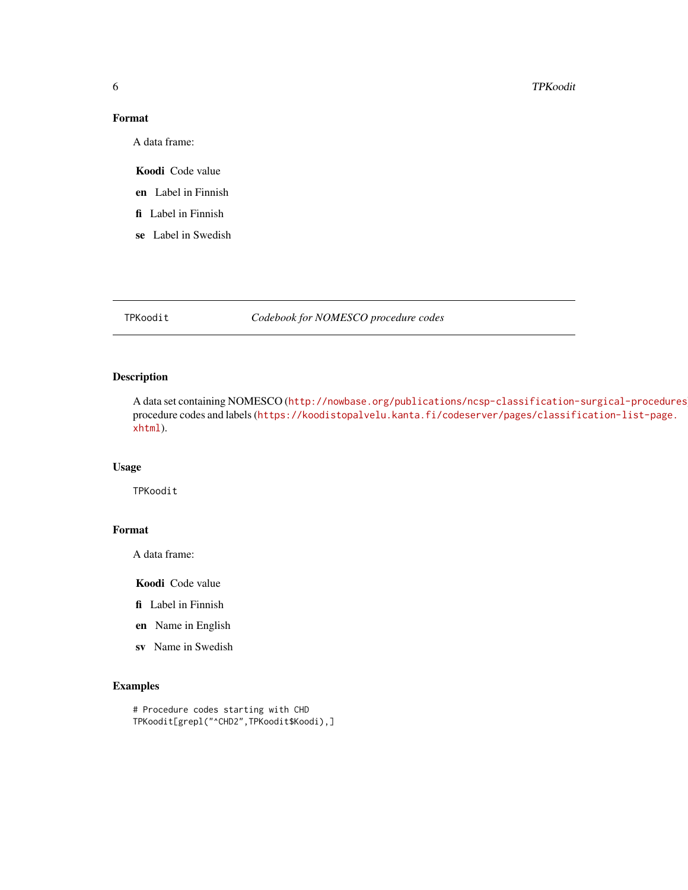#### 6 TPKoodit

#### Format

A data frame:

Koodi Code value

en Label in Finnish

fi Label in Finnish

se Label in Swedish

TPKoodit *Codebook for NOMESCO procedure codes*

#### Description

A data set containing NOMESCO (<http://nowbase.org/publications/ncsp-classification-surgical-procedures>) procedure codes and labels ([https://koodistopalvelu.kanta.fi/codeserver/pages/classif](https://koodistopalvelu.kanta.fi/codeserver/pages/classification-list-page.xhtml)ication-list-page. [xhtml](https://koodistopalvelu.kanta.fi/codeserver/pages/classification-list-page.xhtml)).

#### Usage

TPKoodit

#### Format

A data frame:

Koodi Code value

fi Label in Finnish

en Name in English

sv Name in Swedish

#### Examples

# Procedure codes starting with CHD TPKoodit[grepl("^CHD2",TPKoodit\$Koodi),]

<span id="page-5-0"></span>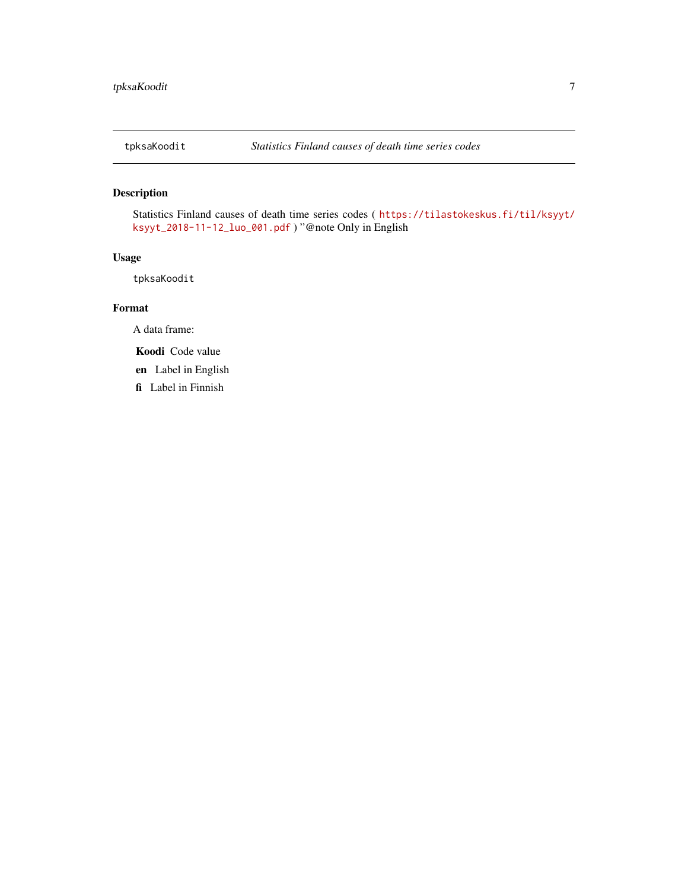<span id="page-6-0"></span>

Statistics Finland causes of death time series codes ( [https://tilastokeskus.fi/til/ksyyt/](https://tilastokeskus.fi/til/ksyyt/ksyyt_2018-11-12_luo_001.pdf) [ksyyt\\_2018-11-12\\_luo\\_001.pdf](https://tilastokeskus.fi/til/ksyyt/ksyyt_2018-11-12_luo_001.pdf) ) "@note Only in English

#### Usage

tpksaKoodit

#### Format

A data frame:

Koodi Code value

en Label in English

fi Label in Finnish